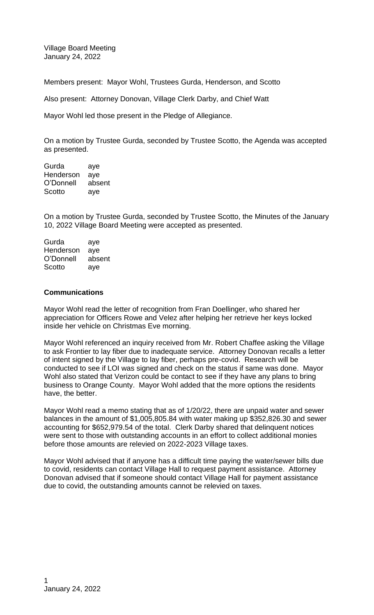Village Board Meeting January 24, 2022

Members present: Mayor Wohl, Trustees Gurda, Henderson, and Scotto

Also present: Attorney Donovan, Village Clerk Darby, and Chief Watt

Mayor Wohl led those present in the Pledge of Allegiance.

On a motion by Trustee Gurda, seconded by Trustee Scotto, the Agenda was accepted as presented.

Gurda aye Henderson aye O'Donnell absent Scotto aye

On a motion by Trustee Gurda, seconded by Trustee Scotto, the Minutes of the January 10, 2022 Village Board Meeting were accepted as presented.

Gurda aye Henderson aye O'Donnell absent Scotto aye

## **Communications**

Mayor Wohl read the letter of recognition from Fran Doellinger, who shared her appreciation for Officers Rowe and Velez after helping her retrieve her keys locked inside her vehicle on Christmas Eve morning.

Mayor Wohl referenced an inquiry received from Mr. Robert Chaffee asking the Village to ask Frontier to lay fiber due to inadequate service. Attorney Donovan recalls a letter of intent signed by the Village to lay fiber, perhaps pre-covid. Research will be conducted to see if LOI was signed and check on the status if same was done. Mayor Wohl also stated that Verizon could be contact to see if they have any plans to bring business to Orange County. Mayor Wohl added that the more options the residents have, the better.

Mayor Wohl read a memo stating that as of 1/20/22, there are unpaid water and sewer balances in the amount of \$1,005,805.84 with water making up \$352,826.30 and sewer accounting for \$652,979.54 of the total. Clerk Darby shared that delinquent notices were sent to those with outstanding accounts in an effort to collect additional monies before those amounts are relevied on 2022-2023 Village taxes.

Mayor Wohl advised that if anyone has a difficult time paying the water/sewer bills due to covid, residents can contact Village Hall to request payment assistance. Attorney Donovan advised that if someone should contact Village Hall for payment assistance due to covid, the outstanding amounts cannot be relevied on taxes.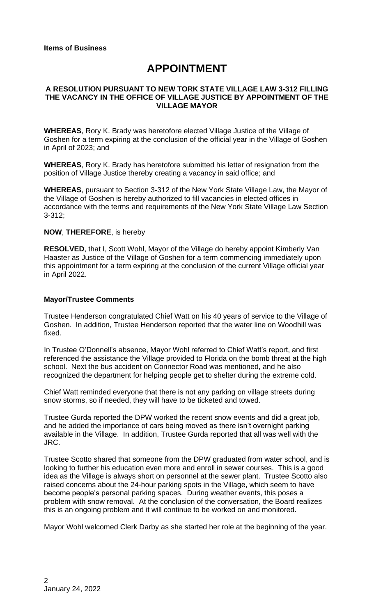# **APPOINTMENT**

### **A RESOLUTION PURSUANT TO NEW TORK STATE VILLAGE LAW 3-312 FILLING THE VACANCY IN THE OFFICE OF VILLAGE JUSTICE BY APPOINTMENT OF THE VILLAGE MAYOR**

**WHEREAS**, Rory K. Brady was heretofore elected Village Justice of the Village of Goshen for a term expiring at the conclusion of the official year in the Village of Goshen in April of 2023; and

**WHEREAS**, Rory K. Brady has heretofore submitted his letter of resignation from the position of Village Justice thereby creating a vacancy in said office; and

**WHEREAS**, pursuant to Section 3-312 of the New York State Village Law, the Mayor of the Village of Goshen is hereby authorized to fill vacancies in elected offices in accordance with the terms and requirements of the New York State Village Law Section 3-312;

#### **NOW**, **THEREFORE**, is hereby

**RESOLVED**, that I, Scott Wohl, Mayor of the Village do hereby appoint Kimberly Van Haaster as Justice of the Village of Goshen for a term commencing immediately upon this appointment for a term expiring at the conclusion of the current Village official year in April 2022.

#### **Mayor/Trustee Comments**

Trustee Henderson congratulated Chief Watt on his 40 years of service to the Village of Goshen. In addition, Trustee Henderson reported that the water line on Woodhill was fixed.

In Trustee O'Donnell's absence, Mayor Wohl referred to Chief Watt's report, and first referenced the assistance the Village provided to Florida on the bomb threat at the high school. Next the bus accident on Connector Road was mentioned, and he also recognized the department for helping people get to shelter during the extreme cold.

Chief Watt reminded everyone that there is not any parking on village streets during snow storms, so if needed, they will have to be ticketed and towed.

Trustee Gurda reported the DPW worked the recent snow events and did a great job, and he added the importance of cars being moved as there isn't overnight parking available in the Village. In addition, Trustee Gurda reported that all was well with the JRC.

Trustee Scotto shared that someone from the DPW graduated from water school, and is looking to further his education even more and enroll in sewer courses. This is a good idea as the Village is always short on personnel at the sewer plant. Trustee Scotto also raised concerns about the 24-hour parking spots in the Village, which seem to have become people's personal parking spaces. During weather events, this poses a problem with snow removal. At the conclusion of the conversation, the Board realizes this is an ongoing problem and it will continue to be worked on and monitored.

Mayor Wohl welcomed Clerk Darby as she started her role at the beginning of the year.